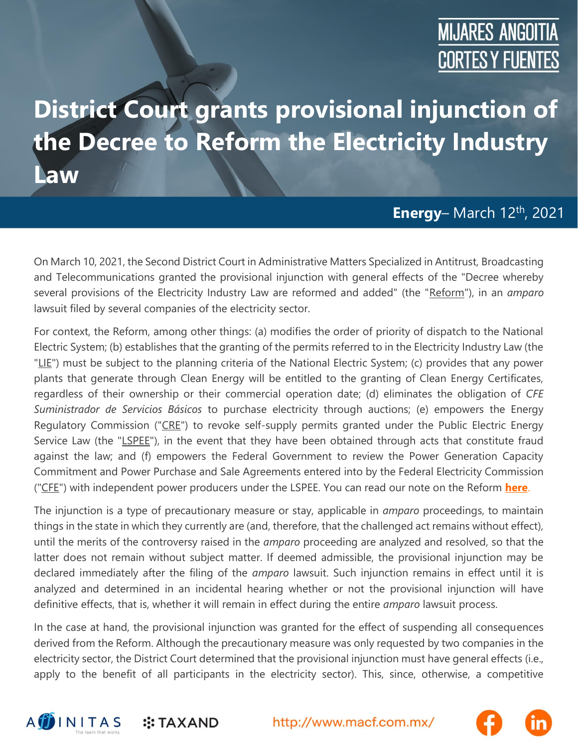## **MIJARES ANGOITIA CORTES Y FUENTES**

## **District Court grants provisional injunction of the Decree to Reform the Electricity Industry Law**

#### **Energy**– March 12th , 2021

On March 10, 2021, the Second District Court in Administrative Matters Specialized in Antitrust, Broadcasting and Telecommunications granted the provisional injunction with general effects of the "Decree whereby several provisions of the Electricity Industry Law are reformed and added" (the "Reform"), in an *amparo* lawsuit filed by several companies of the electricity sector.

For context, the Reform, among other things: (a) modifies the order of priority of dispatch to the National Electric System; (b) establishes that the granting of the permits referred to in the Electricity Industry Law (the "LIE") must be subject to the planning criteria of the National Electric System; (c) provides that any power plants that generate through Clean Energy will be entitled to the granting of Clean Energy Certificates, regardless of their ownership or their commercial operation date; (d) eliminates the obligation of *CFE Suministrador de Servicios Básicos* to purchase electricity through auctions; (e) empowers the Energy Regulatory Commission ("CRE") to revoke self-supply permits granted under the Public Electric Energy Service Law (the "LSPEE"), in the event that they have been obtained through acts that constitute fraud against the law; and (f) empowers the Federal Government to review the Power Generation Capacity Commitment and Power Purchase and Sale Agreements entered into by the Federal Electricity Commission ("CFE") with independent power producers under the LSPEE. You can read our note on the Reform **[here](https://macf.com.mx/administrador/assets/uploads/files/seasons/c0ace-clienalert_energy_0903_ing.pdf)**.

The injunction is a type of precautionary measure or stay, applicable in *amparo* proceedings, to maintain things in the state in which they currently are (and, therefore, that the challenged act remains without effect), until the merits of the controversy raised in the *amparo* proceeding are analyzed and resolved, so that the latter does not remain without subject matter. If deemed admissible, the provisional injunction may be declared immediately after the filing of the *amparo* lawsuit. Such injunction remains in effect until it is analyzed and determined in an incidental hearing whether or not the provisional injunction will have definitive effects, that is, whether it will remain in effect during the entire *amparo* lawsuit process.

In the case at hand, the provisional injunction was granted for the effect of suspending all consequences derived from the Reform. Although the precautionary measure was only requested by two companies in the electricity sector, the District Court determined that the provisional injunction must have general effects (i.e., apply to the benefit of all participants in the electricity sector). This, since, otherwise, a competitive



**:: TAXAND**